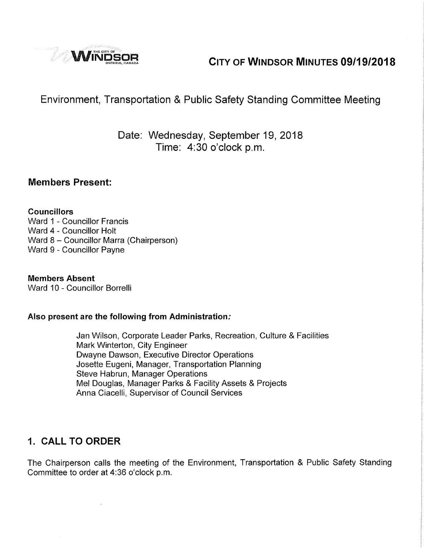

# **WINDSOR CITY OF WINDSOR MINUTES 09/19/2018**

## Environment, Transportation & Public Safety Standing Committee Meeting

#### Date: Wednesday, September 19, 2018 Time: 4:30 o'clock p.m.

#### **Members Present:**

#### **Councillors**

Ward 1 - Councillor Francis Ward 4 - Councillor Holt Ward 8 - Councillor Marra (Chairperson) Ward 9 - Councillor Payne

**Members Absent**  Ward 10 - Councillor Borrelli

#### **Also present are the following from Administration:**

Jan Wilson, Corporate Leader Parks, Recreation, Culture & Facilities Mark Winterton, City Engineer Dwayne Dawson, Executive Director Operations Josette Eugeni, Manager, Transportation Planning Steve Habrun, Manager Operations Mel Douglas, Manager Parks & Facility Assets & Projects Anna Ciacelli, Supervisor of Council Services

#### **1. CALL TO ORDER**

The Chairperson calls the meeting of the Environment, Transportation & Public Safety Standing Committee to order at 4:36 o'clock p.m,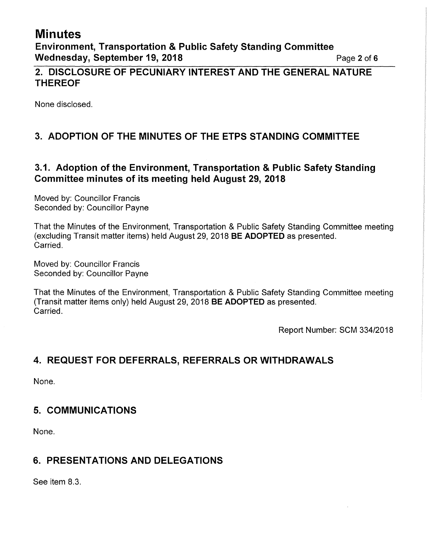# **Minutes**

**Environment, Transportation & Public Safety Standing Committee Wednesday, September 19, 2018 Page 2 of 6 Page 2 of 6** 

#### **2. DISCLOSURE OF PECUNIARY INTEREST AND THE GENERAL NATURE THEREOF**

None disclosed.

## **3. ADOPTION OF THE MINUTES OF THE ETPS STANDING COMMITTEE**

#### **3.1. Adoption of the Environment, Transportation & Public Safety Standing Committee minutes of its meeting held August 29, 2018**

Moved by: Councillor Francis Seconded by: Councillor Payne

That the Minutes of the Environment, Transportation & Public Safety Standing Committee meeting (excluding Transit matter items) held August 29, 2018 **BE ADOPTED** as presented. Carried.

Moved by: Councillor Francis Seconded by: Councillor Payne

That the Minutes of the Environment, Transportation & Public Safety Standing Committee meeting (Transit matter items only) held August 29, 2018 **BE ADOPTED** as presented. Carried.

Report Number: SCM 334/2018

#### **4. REQUEST FOR DEFERRALS, REFERRALS OR WITHDRAWALS**

None.

#### **5. COMMUNICATIONS**

None.

#### **6. PRESENTATIONS AND DELEGATIONS**

See item 8.3.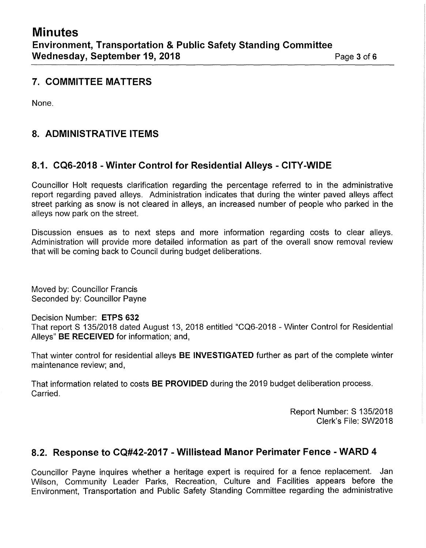#### **7. COMMITTEE MATTERS**

None.

#### **8. ADMINISTRATIVE ITEMS**

#### **8.1. CQG-2018 - Winter Control for Residential Alleys - CITY-WIDE**

Councillor Holt requests clarification regarding the percentage referred to in the administrative report regarding paved alleys. Administration indicates that during the winter paved alleys affect street parking as snow is not cleared in alleys, an increased number of people who parked in the alleys now park on the street.

Discussion ensues as to next steps and more information regarding costs to clear alleys. Administration will provide more detailed information as part of the overall snow removal review that will be coming back to Council during budget deliberations.

Moved by: Councillor Francis Seconded by: Councillor Payne

Decision Number: **ETPS 632** 

That report S 135/2018 dated August 13, 2018 entitled "CQ6-2018 - Winter Control for Residential Alleys" **BE RECEIVED** for information; and,

That winter control for residential alleys **BE INVESTIGATED** further as part of the complete winter maintenance review; and,

That information related to costs **BE PROVIDED** during the 2019 budget deliberation process. Carried.

> Report Number: S 135/2018 Clerk's File: SW2018

## **8.2. Response to CQ#42-2017 - Willistead Manor Perimater Fence -WARD 4**

Councillor Payne inquires whether a heritage expert is required for a fence replacement. Jan Wilson, Community Leader Parks, Recreation, Culture and Facilities appears before the Environment, Transportation and Public Safety Standing Committee regarding the administrative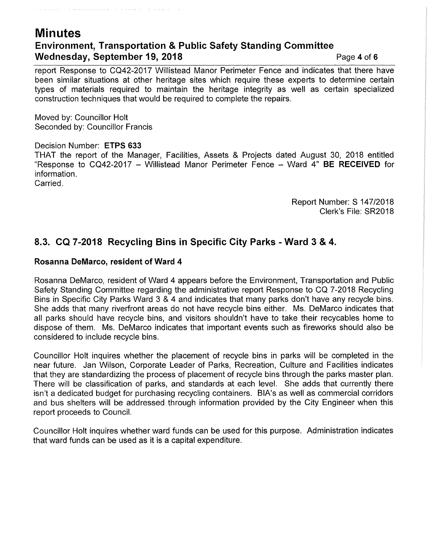### **Minutes Environment, Transportation & Public Safety Standing Committee Wednesday, September 19, 2018 Page 4 of 6 Page 4 of 6**

report Response to CQ42-2017 Willistead Manor Perimeter Fence and indicates that there have been similar situations at other heritage sites which require these experts to determine certain types of materials required to maintain the heritage integrity as well as certain specialized construction techniques that would be required to complete the repairs.

Moved by: Councillor Holt Seconded by: Councillor Francis

the main concerns and the second of the second company

#### Decision Number: **ETPS 633**

THAT the report of the Manager, Facilities, Assets & Projects dated August 30, 2018 entitled "Response to CQ42-2017 - Willistead Manor Perimeter Fence - Ward 4" **BE RECEIVED** for information. Carried.

> Report Number: S 147/2018 Clerk's File: SR2018

#### **8.3. CQ 7-2018 Recycling Bins in Specific City Parks - Ward 3 & 4.**

#### **Rosanna DeMarco, resident of Ward 4**

Rosanna DeMarco, resident of Ward 4 appears before the Environment, Transportation and Public Safety Standing Committee regarding the administrative report Response to CQ 7-2018 Recycling Bins in Specific City Parks Ward 3 & 4 and indicates that many parks don't have any recycle bins. She adds that many riverfront areas do not have recycle bins either. Ms. DeMarco indicates that all parks should have recycle bins, and visitors shouldn't have to take their recycables home to dispose of them. Ms. DeMarco indicates that important events such as fireworks should also be considered to include recycle bins.

Councillor Holt inquires whether the placement of recycle bins in parks will be completed in the near future. Jan Wilson, Corporate Leader of Parks, Recreation, Culture and Facilities indicates that they are standardizing the process of placement of recycle bins through the parks master plan. There will be classification of parks, and standards at each level. She adds that currently there isn't a dedicated budget for purchasing recycling containers. BIA's as well as commercial corridors and bus shelters will be addressed through information provided by the City Engineer when this report proceeds to Council.

Councillor Holt inquires whether ward funds can be used for this purpose. Administration indicates that ward funds can be used as it is a capital expenditure.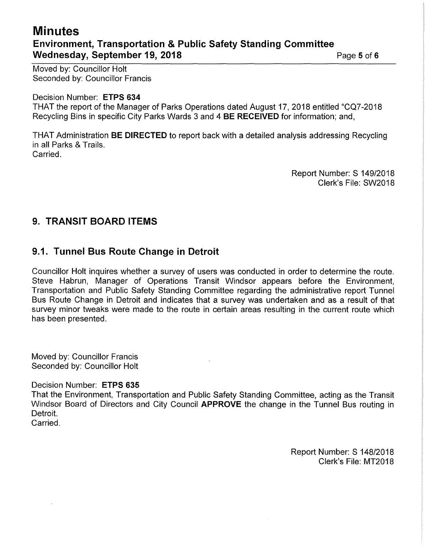## **Minutes Environment, Transportation & Public Safety Standing Committee Wednesday, September 19, 2018 Page 16 <b>Page 5 of 6 Page 16 <b>Page 16 Page 16 Page 16 Page 16 Page 16 Page 16 Page 16 Page 16 Page 16 Page 16 Page 16 Page 16 Page 16 Page 16 Page 16 Page 16**

Moved by: Councillor Holt Seconded by: Councillor Francis

Decision Number: **ETPS 634** 

THAT the report of the Manager of Parks Operations dated August 17, 2018 entitled "CQ?-2018 Recycling Bins in specific City Parks Wards 3 and 4 **BE RECEIVED** for information; and,

THAT Administration **BE DIRECTED** to report back with a detailed analysis addressing Recycling in all Parks & Trails. Carried.

> Report Number: S 149/2018 Clerk's File: SW2018

#### **9. TRANSIT BOARD ITEMS**

#### **9.1. Tunnel Bus Route Change in Detroit**

Councillor Holt inquires whether a survey of users was conducted in order to determine the route. Steve Habrun, Manager of Operations Transit Windsor appears before the Environment, Transportation and Public Safety Standing Committee regarding the administrative report Tunnel Bus Route Change in Detroit and indicates that a survey was undertaken and as a result of that survey minor tweaks were made to the route in certain areas resulting in the current route which has been presented.

Moved by: Councillor Francis Seconded by: Councillor Holt

Decision Number: **ETPS 635** 

That the Environment, Transportation and Public Safety Standing Committee, acting as the Transit Windsor Board of Directors and City Council **APPROVE** the change in the Tunnel Bus routing in Detroit.

Carried.

Report Number: S 148/2018 Clerk's File: MT2018